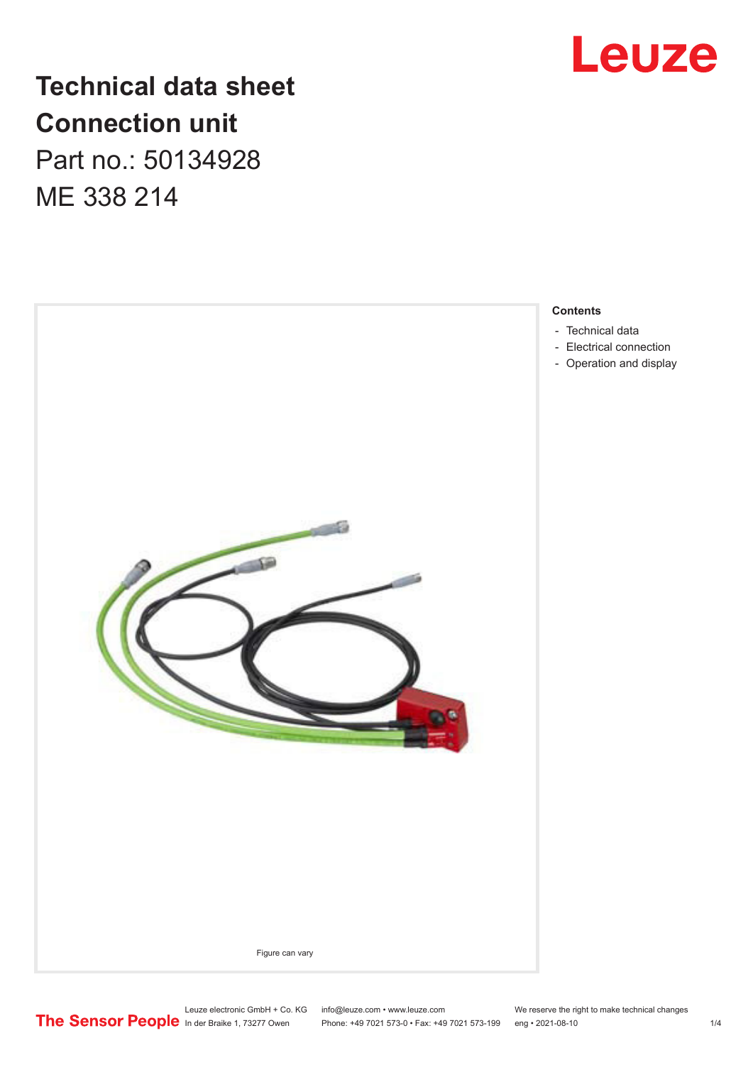

## **Technical data sheet Connection unit**

Part no.: 50134928 ME 338 214



#### **Contents**

- [Technical data](#page-1-0)
- [Electrical connection](#page-1-0)
- Operation and display

Phone: +49 7021 573-0 • Fax: +49 7021 573-199 eng • 2021-08-10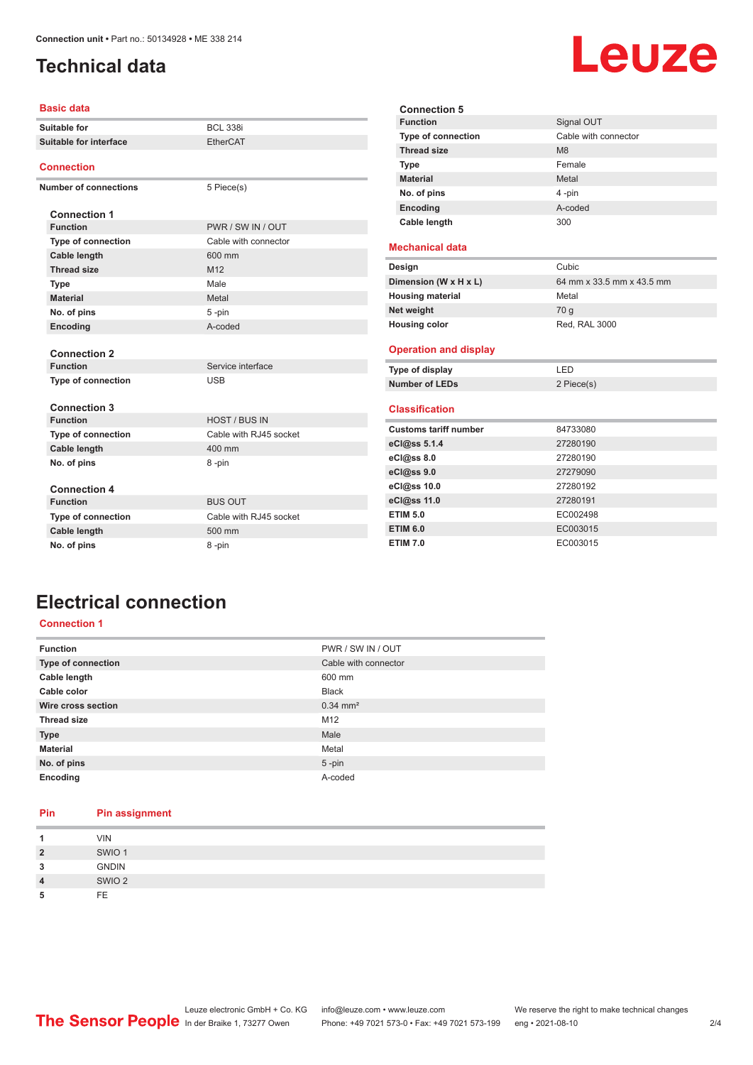### <span id="page-1-0"></span>**Technical data**

#### **Basic data**

|                        | Suitable for                 | <b>BCL 338i</b>        | Fun               |
|------------------------|------------------------------|------------------------|-------------------|
| Suitable for interface |                              | <b>EtherCAT</b>        | <b>Typ</b><br>Thr |
|                        |                              |                        | <b>Typ</b>        |
|                        | <b>Connection</b>            |                        | Mat               |
|                        | <b>Number of connections</b> | 5 Piece(s)             | No.               |
|                        |                              |                        | Enc               |
|                        | <b>Connection 1</b>          |                        | Cab               |
|                        | <b>Function</b>              | PWR / SW IN / OUT      |                   |
|                        | <b>Type of connection</b>    | Cable with connector   | <b>Mech</b>       |
|                        | Cable length                 | 600 mm                 |                   |
|                        | <b>Thread size</b>           | M <sub>12</sub>        | Desig             |
|                        | <b>Type</b>                  | Male                   | Dimen             |
|                        | <b>Material</b>              | Metal                  | Housi             |
|                        | No. of pins                  | 5-pin                  | Net we            |
|                        | Encoding                     | A-coded                | Housi             |
|                        |                              |                        |                   |
|                        | <b>Connection 2</b>          |                        | Opera             |
|                        | <b>Function</b>              | Service interface      | Type o            |
|                        | <b>Type of connection</b>    | <b>USB</b>             | <b>Numb</b>       |
|                        |                              |                        |                   |
|                        | <b>Connection 3</b>          |                        | <b>Class</b>      |
|                        | <b>Function</b>              | <b>HOST / BUS IN</b>   | Custo             |
|                        | <b>Type of connection</b>    | Cable with RJ45 socket | eCl@s             |
|                        | Cable length                 | 400 mm                 |                   |
|                        | No. of pins                  | 8-pin                  | eCl@s             |
|                        |                              |                        | eCl@s             |
|                        | <b>Connection 4</b>          |                        | eCl@s             |
|                        | <b>Function</b>              | <b>BUS OUT</b>         | eCl@s             |
|                        | <b>Type of connection</b>    | Cable with RJ45 socket | ETIM !            |
|                        | Cable length                 | 500 mm                 | ETIM <sup>(</sup> |
|                        | No. of pins                  | 8-pin                  | ETIM 7            |
|                        |                              |                        |                   |

| <b>Connection 5</b>          |                           |
|------------------------------|---------------------------|
| <b>Function</b>              | Signal OUT                |
| <b>Type of connection</b>    | Cable with connector      |
| <b>Thread size</b>           | M <sub>8</sub>            |
| <b>Type</b>                  | Female                    |
| <b>Material</b>              | Metal                     |
| No. of pins                  | 4-pin                     |
| Encoding                     | A-coded                   |
| Cable length                 | 300                       |
|                              |                           |
| <b>Mechanical data</b>       |                           |
| Design                       | Cubic                     |
| Dimension (W x H x L)        | 64 mm x 33.5 mm x 43.5 mm |
| <b>Housing material</b>      | Metal                     |
| Net weight                   | 70 q                      |
| <b>Housing color</b>         | Red, RAL 3000             |
| <b>Operation and display</b> |                           |
| Type of display              | <b>LED</b>                |
| <b>Number of LEDs</b>        | 2 Piece(s)                |
| <b>Classification</b>        |                           |
| <b>Customs tariff number</b> | 84733080                  |
| eCl@ss 5.1.4                 | 27280190                  |
| eCl@ss 8.0                   | 27280190                  |
| eCl@ss 9.0                   | 27279090                  |
| eCl@ss 10.0                  | 27280192                  |
| eCl@ss 11.0                  | 27280191                  |
| <b>ETIM 5.0</b>              | EC002498                  |
| <b>ETIM 6.0</b>              | EC003015                  |
| <b>ETIM 7.0</b>              | EC003015                  |

## **Electrical connection**

#### **Connection 1**

| <b>Function</b>    | PWR / SW IN / OUT     |
|--------------------|-----------------------|
| Type of connection | Cable with connector  |
| Cable length       | 600 mm                |
| Cable color        | <b>Black</b>          |
| Wire cross section | $0.34 \, \text{mm}^2$ |
| <b>Thread size</b> | M12                   |
| <b>Type</b>        | Male                  |
| <b>Material</b>    | Metal                 |
| No. of pins        | $5$ -pin              |
| Encoding           | A-coded               |

#### **Pin Pin assignment 1** VIN **2** SWIO 1 **3** GNDIN **4** SWIO 2 **5** FE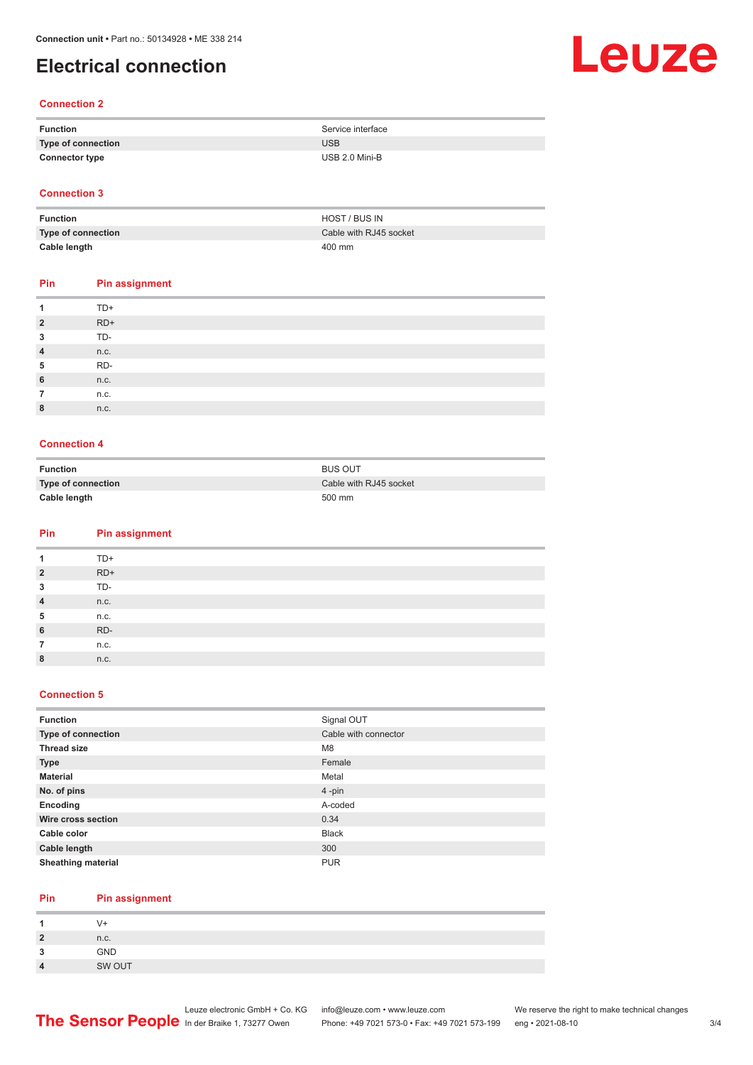### **Electrical connection**

# Leuze

#### **Connection 2**

| Function              | Service interface |
|-----------------------|-------------------|
| Type of connection    | <b>USB</b>        |
| <b>Connector type</b> | USB 2.0 Mini-B    |

#### **Connection 3**

| Function           | HOST / BUS IN          |
|--------------------|------------------------|
| Type of connection | Cable with RJ45 socket |
| Cable length       | 400 mm                 |

#### **Pin Pin assignment**

| 1              | $TD+$ |
|----------------|-------|
| $\overline{2}$ | $RD+$ |
| 3              | TD-   |
| $\overline{4}$ | n.c.  |
| 5              | RD-   |
| 6              | n.c.  |
| 7              | n.c.  |
| 8              | n.c.  |
|                |       |

#### **Connection 4**

| Function           | <b>BUS OUT</b>         |
|--------------------|------------------------|
| Type of connection | Cable with RJ45 socket |
| Cable length       | 500 mm                 |

#### **Pin Pin assignment**

| 1              | TD+   |
|----------------|-------|
| $\overline{2}$ | $RD+$ |
| 3              | TD-   |
| $\overline{4}$ | n.c.  |
| 5              | n.c.  |
| 6              | RD-   |
| 7              | n.c.  |
| 8              | n.c.  |

#### **Connection 5**

| <b>Function</b>           | Signal OUT           |
|---------------------------|----------------------|
| Type of connection        | Cable with connector |
| <b>Thread size</b>        | M <sub>8</sub>       |
| <b>Type</b>               | Female               |
| <b>Material</b>           | Metal                |
| No. of pins               | $4$ -pin             |
| Encoding                  | A-coded              |
| Wire cross section        | 0.34                 |
| Cable color               | <b>Black</b>         |
| Cable length              | 300                  |
| <b>Sheathing material</b> | <b>PUR</b>           |

#### **Pin Pin assignment**

|           | V+     |
|-----------|--------|
| 2         | n.c.   |
| ໍາ<br>- 1 | GND    |
|           | SW OUT |